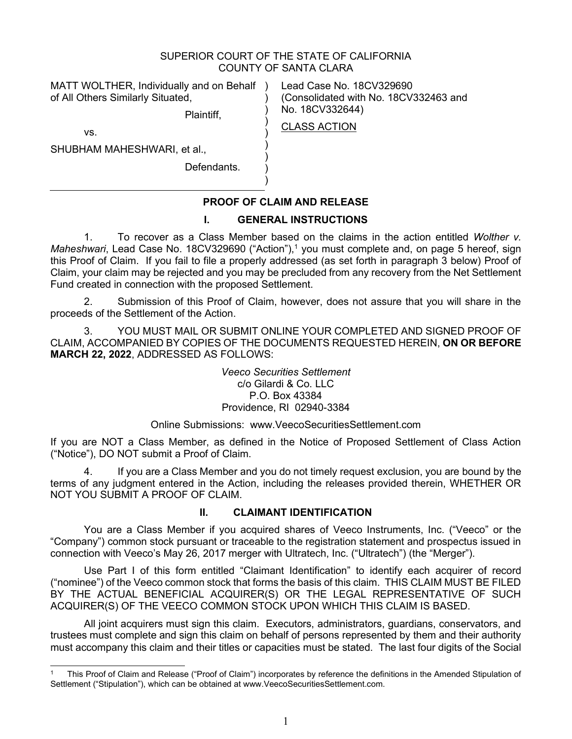## SUPERIOR COURT OF THE STATE OF CALIFORNIA COUNTY OF SANTA CLARA

CLASS ACTION

) ) ) ) ) ) ) )

MATT WOLTHER, Individually and on Behalf ) of All Others Similarly Situated,

Plaintiff,

Lead Case No. 18CV329690 (Consolidated with No. 18CV332463 and No. 18CV332644)

vs.

SHUBHAM MAHESHWARI, et al.,

Defendants.

## **PROOF OF CLAIM AND RELEASE**

## **I. GENERAL INSTRUCTIONS**

1. To recover as a Class Member based on the claims in the action entitled *Wolther v. Maheshwari*, Lead Case No. 18CV329690 ("Action"),<sup>1</sup> you must complete and, on page 5 hereof, sign this Proof of Claim. If you fail to file a properly addressed (as set forth in paragraph 3 below) Proof of Claim, your claim may be rejected and you may be precluded from any recovery from the Net Settlement Fund created in connection with the proposed Settlement.

2. Submission of this Proof of Claim, however, does not assure that you will share in the proceeds of the Settlement of the Action.

3. YOU MUST MAIL OR SUBMIT ONLINE YOUR COMPLETED AND SIGNED PROOF OF CLAIM, ACCOMPANIED BY COPIES OF THE DOCUMENTS REQUESTED HEREIN, **ON OR BEFORE MARCH 22, 2022**, ADDRESSED AS FOLLOWS:

> *Veeco Securities Settlement*  c/o Gilardi & Co. LLC P.O. Box 43384 Providence, RI 02940-3384

## Online Submissions: www.VeecoSecuritiesSettlement.com

If you are NOT a Class Member, as defined in the Notice of Proposed Settlement of Class Action ("Notice"), DO NOT submit a Proof of Claim.

4. If you are a Class Member and you do not timely request exclusion, you are bound by the terms of any judgment entered in the Action, including the releases provided therein, WHETHER OR NOT YOU SUBMIT A PROOF OF CLAIM.

## **II. CLAIMANT IDENTIFICATION**

You are a Class Member if you acquired shares of Veeco Instruments, Inc. ("Veeco" or the "Company") common stock pursuant or traceable to the registration statement and prospectus issued in connection with Veeco's May 26, 2017 merger with Ultratech, Inc. ("Ultratech") (the "Merger").

Use Part I of this form entitled "Claimant Identification" to identify each acquirer of record ("nominee") of the Veeco common stock that forms the basis of this claim. THIS CLAIM MUST BE FILED BY THE ACTUAL BENEFICIAL ACQUIRER(S) OR THE LEGAL REPRESENTATIVE OF SUCH ACQUIRER(S) OF THE VEECO COMMON STOCK UPON WHICH THIS CLAIM IS BASED.

All joint acquirers must sign this claim. Executors, administrators, guardians, conservators, and trustees must complete and sign this claim on behalf of persons represented by them and their authority must accompany this claim and their titles or capacities must be stated. The last four digits of the Social

<sup>1</sup> This Proof of Claim and Release ("Proof of Claim") incorporates by reference the definitions in the Amended Stipulation of Settlement ("Stipulation"), which can be obtained at www.VeecoSecuritiesSettlement.com.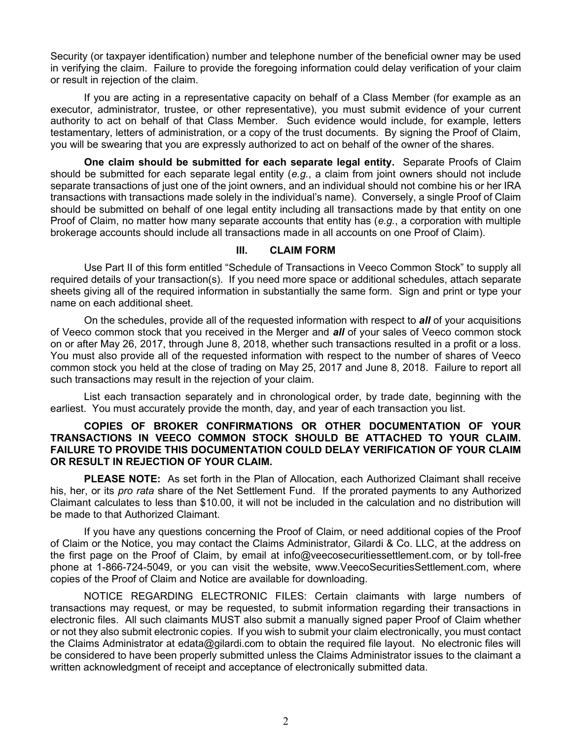Security (or taxpayer identification) number and telephone number of the beneficial owner may be used in verifying the claim. Failure to provide the foregoing information could delay verification of your claim or result in rejection of the claim.

If you are acting in a representative capacity on behalf of a Class Member (for example as an executor, administrator, trustee, or other representative), you must submit evidence of your current authority to act on behalf of that Class Member. Such evidence would include, for example, letters testamentary, letters of administration, or a copy of the trust documents. By signing the Proof of Claim, you will be swearing that you are expressly authorized to act on behalf of the owner of the shares.

**One claim should be submitted for each separate legal entity.** Separate Proofs of Claim should be submitted for each separate legal entity (*e.g.*, a claim from joint owners should not include separate transactions of just one of the joint owners, and an individual should not combine his or her IRA transactions with transactions made solely in the individual's name). Conversely, a single Proof of Claim should be submitted on behalf of one legal entity including all transactions made by that entity on one Proof of Claim, no matter how many separate accounts that entity has (*e.g.*, a corporation with multiple brokerage accounts should include all transactions made in all accounts on one Proof of Claim).

## **III. CLAIM FORM**

Use Part II of this form entitled "Schedule of Transactions in Veeco Common Stock" to supply all required details of your transaction(s). If you need more space or additional schedules, attach separate sheets giving all of the required information in substantially the same form. Sign and print or type your name on each additional sheet.

On the schedules, provide all of the requested information with respect to *all* of your acquisitions of Veeco common stock that you received in the Merger and *all* of your sales of Veeco common stock on or after May 26, 2017, through June 8, 2018, whether such transactions resulted in a profit or a loss. You must also provide all of the requested information with respect to the number of shares of Veeco common stock you held at the close of trading on May 25, 2017 and June 8, 2018. Failure to report all such transactions may result in the rejection of your claim.

List each transaction separately and in chronological order, by trade date, beginning with the earliest. You must accurately provide the month, day, and year of each transaction you list.

## **COPIES OF BROKER CONFIRMATIONS OR OTHER DOCUMENTATION OF YOUR TRANSACTIONS IN VEECO COMMON STOCK SHOULD BE ATTACHED TO YOUR CLAIM. FAILURE TO PROVIDE THIS DOCUMENTATION COULD DELAY VERIFICATION OF YOUR CLAIM OR RESULT IN REJECTION OF YOUR CLAIM.**

**PLEASE NOTE:** As set forth in the Plan of Allocation, each Authorized Claimant shall receive his, her, or its *pro rata* share of the Net Settlement Fund. If the prorated payments to any Authorized Claimant calculates to less than \$10.00, it will not be included in the calculation and no distribution will be made to that Authorized Claimant.

If you have any questions concerning the Proof of Claim, or need additional copies of the Proof of Claim or the Notice, you may contact the Claims Administrator, Gilardi & Co. LLC, at the address on the first page on the Proof of Claim, by email at info@veecosecuritiessettlement.com, or by toll-free phone at 1-866-724-5049, or you can visit the website, www.VeecoSecuritiesSettlement.com, where copies of the Proof of Claim and Notice are available for downloading.

NOTICE REGARDING ELECTRONIC FILES: Certain claimants with large numbers of transactions may request, or may be requested, to submit information regarding their transactions in electronic files. All such claimants MUST also submit a manually signed paper Proof of Claim whether or not they also submit electronic copies. If you wish to submit your claim electronically, you must contact the Claims Administrator at edata@gilardi.com to obtain the required file layout. No electronic files will be considered to have been properly submitted unless the Claims Administrator issues to the claimant a written acknowledgment of receipt and acceptance of electronically submitted data.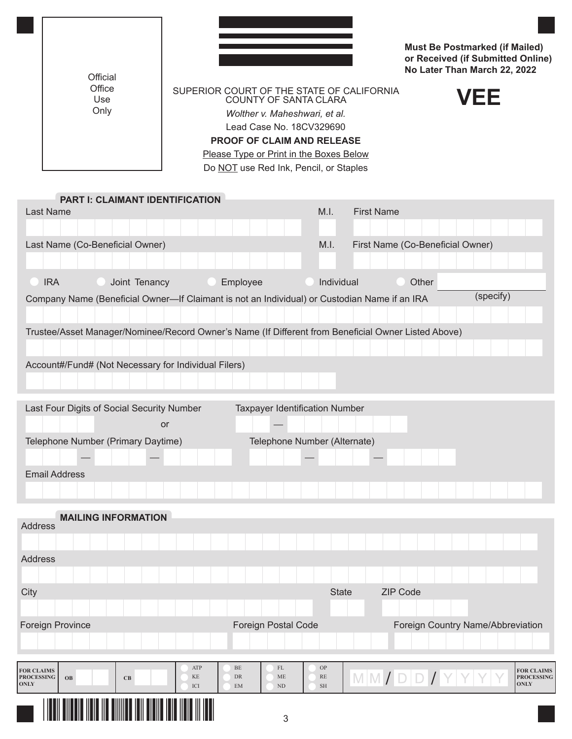| Official                        |                                        |                                                                                                                                                                                                                                                                  |            |                   |                                  | <b>Must Be Postmarked (if Mailed)</b><br>or Received (if Submitted Online)<br>No Later Than March 22, 2022 |
|---------------------------------|----------------------------------------|------------------------------------------------------------------------------------------------------------------------------------------------------------------------------------------------------------------------------------------------------------------|------------|-------------------|----------------------------------|------------------------------------------------------------------------------------------------------------|
| Office<br>Use<br>Only           |                                        | SUPERIOR COURT OF THE STATE OF CALIFORNIA<br><b>COUNTY OF SANTA CLARA</b><br>Wolther v. Maheshwari, et al.<br>Lead Case No. 18CV329690<br><b>PROOF OF CLAIM AND RELEASE</b><br>Please Type or Print in the Boxes Below<br>Do NOT use Red Ink, Pencil, or Staples |            |                   |                                  | VEE                                                                                                        |
|                                 | <b>PART I: CLAIMANT IDENTIFICATION</b> |                                                                                                                                                                                                                                                                  |            |                   |                                  |                                                                                                            |
| <b>Last Name</b>                |                                        |                                                                                                                                                                                                                                                                  | M.I.       | <b>First Name</b> |                                  |                                                                                                            |
| Last Name (Co-Beneficial Owner) |                                        |                                                                                                                                                                                                                                                                  | M.I.       |                   | First Name (Co-Beneficial Owner) |                                                                                                            |
| <b>IRA</b>                      | Joint Tenancy                          | Employee                                                                                                                                                                                                                                                         | Individual |                   | Other                            |                                                                                                            |

Company Name (Beneficial Owner—If Claimant is not an Individual) or Custodian Name if an IRA (specify)

Trustee/Asset Manager/Nominee/Record Owner's Name (If Different from Beneficial Owner Listed Above)

Account#/Fund# (Not Necessary for Individual Filers)

| Last Four Digits of Social Security Number | <b>Taxpayer Identification Number</b> |  |  |  |  |  |
|--------------------------------------------|---------------------------------------|--|--|--|--|--|
| or                                         |                                       |  |  |  |  |  |
| Telephone Number (Primary Daytime)         | Telephone Number (Alternate)          |  |  |  |  |  |
|                                            |                                       |  |  |  |  |  |
| <b>Email Address</b>                       |                                       |  |  |  |  |  |
|                                            |                                       |  |  |  |  |  |

| <b>MAILING INFORMATION</b>                                                          |                              |                                           |                                         |                                                |  |
|-------------------------------------------------------------------------------------|------------------------------|-------------------------------------------|-----------------------------------------|------------------------------------------------|--|
| Address                                                                             |                              |                                           |                                         |                                                |  |
|                                                                                     |                              |                                           |                                         |                                                |  |
| Address                                                                             |                              |                                           |                                         |                                                |  |
|                                                                                     |                              |                                           |                                         |                                                |  |
| City                                                                                |                              | <b>State</b>                              | <b>ZIP Code</b>                         |                                                |  |
|                                                                                     |                              |                                           |                                         |                                                |  |
| <b>Foreign Province</b>                                                             |                              | <b>Foreign Postal Code</b>                |                                         | Foreign Country Name/Abbreviation              |  |
|                                                                                     |                              |                                           |                                         |                                                |  |
|                                                                                     | ATP<br>BE                    | FL<br><b>OP</b>                           |                                         |                                                |  |
| <b>FOR CLAIMS</b><br><b>PROCESSING</b><br>$\mathbf C\mathbf B$<br>OB<br><b>ONLY</b> | KE<br>DR<br>ICI<br><b>EM</b> | <b>RE</b><br><b>ME</b><br><b>SH</b><br>ND | $M$ $M$ $J$ $D$ $D$ $J$ $Y$ $Y$ $Y$ $Y$ | <b>FOR CLAIMS</b><br><b>PROCESSING</b><br>ONLY |  |
| <b>ANII YA MATSAYA</b>                                                              |                              | 3                                         |                                         |                                                |  |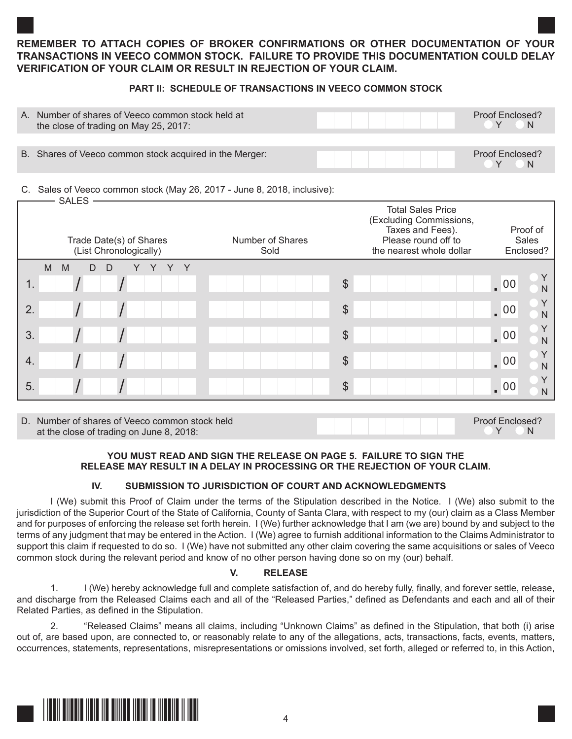## **REMEMBER TO ATTACH COPIES OF BROKER CONFIRMATIONS OR OTHER DOCUMENTATION OF YOUR TRANSACTIONS IN VEECO COMMON STOCK. FAILURE TO PROVIDE THIS DOCUMENTATION COULD DELAY VERIFICATION OF YOUR CLAIM OR RESULT IN REJECTION OF YOUR CLAIM.**

## **PART II: SCHEDULE OF TRANSACTIONS IN VEECO COMMON STOCK**

| A. | Number of shares of Veeco common stock held at<br>the close of trading on May 25, 2017: |  | Proof Enclosed?<br><b>N</b> |
|----|-----------------------------------------------------------------------------------------|--|-----------------------------|
|    |                                                                                         |  |                             |
|    | B. Shares of Veeco common stock acquired in the Merger:                                 |  | Proof Enclosed?<br>. N      |

#### C. Sales of Veeco common stock (May 26, 2017 - June 8, 2018, inclusive): SALES

| <b>SALES</b><br>Trade Date(s) of Shares<br>(List Chronologically) | Number of Shares<br>Sold | <b>Total Sales Price</b><br>(Excluding Commissions,<br>Taxes and Fees).<br>Please round off to<br>the nearest whole dollar | Proof of<br>Sales<br>Enclosed? |
|-------------------------------------------------------------------|--------------------------|----------------------------------------------------------------------------------------------------------------------------|--------------------------------|
| M<br>M<br>D<br>Y<br>$\Box$                                        |                          |                                                                                                                            |                                |
| 1.                                                                |                          | $\boldsymbol{\theta}$                                                                                                      | $\sqrt{00}$<br>N               |
| 2.                                                                |                          | $\boldsymbol{\theta}$                                                                                                      | $\sqrt{00}$<br>$\mathsf{N}$    |
| 3.                                                                |                          | $\boldsymbol{\theta}$                                                                                                      | $\sqrt{00}$<br>$\mathsf{N}$    |
| 4.                                                                |                          | $\frac{1}{2}$                                                                                                              | $\sqrt{00}$<br>$\mathsf{N}$    |
| 5.                                                                |                          | $\frac{1}{2}$                                                                                                              | Υ<br>$\sqrt{00}$<br>N          |

D. Number of shares of Veeco common stock held<br>
at the close of trading on June 8, 2018:<br>
Proof Enclosed?<br>
Proof Enclosed? at the close of trading on June 8, 2018:

## **YOU MUST READ AND SIGN THE RELEASE ON PAGE 5. FAILURE TO SIGN THE RELEASE MAY RESULT IN A DELAY IN PROCESSING OR THE REJECTION OF YOUR CLAIM.**

## **IV. SUBMISSION TO JURISDICTION OF COURT AND ACKNOWLEDGMENTS**

I (We) submit this Proof of Claim under the terms of the Stipulation described in the Notice. I (We) also submit to the jurisdiction of the Superior Court of the State of California, County of Santa Clara, with respect to my (our) claim as a Class Member and for purposes of enforcing the release set forth herein. I (We) further acknowledge that I am (we are) bound by and subject to the terms of any judgment that may be entered in the Action. I (We) agree to furnish additional information to the Claims Administrator to support this claim if requested to do so. I (We) have not submitted any other claim covering the same acquisitions or sales of Veeco common stock during the relevant period and know of no other person having done so on my (our) behalf.

## **V. RELEASE**

1. I (We) hereby acknowledge full and complete satisfaction of, and do hereby fully, finally, and forever settle, release, and discharge from the Released Claims each and all of the "Released Parties," defined as Defendants and each and all of their Related Parties, as defined in the Stipulation.

2. "Released Claims" means all claims, including "Unknown Claims" as defined in the Stipulation, that both (i) arise out of, are based upon, are connected to, or reasonably relate to any of the allegations, acts, transactions, facts, events, matters, occurrences, statements, representations, misrepresentations or omissions involved, set forth, alleged or referred to, in this Action,

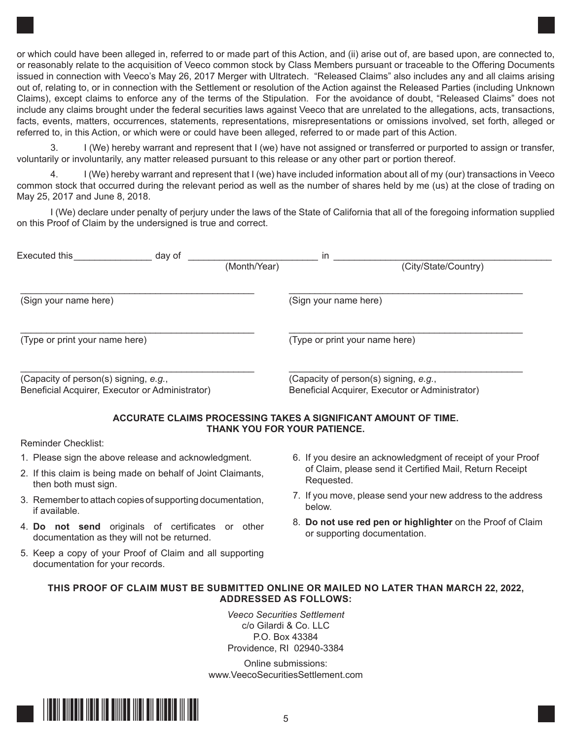or which could have been alleged in, referred to or made part of this Action, and (ii) arise out of, are based upon, are connected to, or reasonably relate to the acquisition of Veeco common stock by Class Members pursuant or traceable to the Offering Documents issued in connection with Veeco's May 26, 2017 Merger with Ultratech. "Released Claims" also includes any and all claims arising out of, relating to, or in connection with the Settlement or resolution of the Action against the Released Parties (including Unknown Claims), except claims to enforce any of the terms of the Stipulation. For the avoidance of doubt, "Released Claims" does not include any claims brought under the federal securities laws against Veeco that are unrelated to the allegations, acts, transactions, facts, events, matters, occurrences, statements, representations, misrepresentations or omissions involved, set forth, alleged or referred to, in this Action, or which were or could have been alleged, referred to or made part of this Action.

3. I (We) hereby warrant and represent that I (we) have not assigned or transferred or purported to assign or transfer, voluntarily or involuntarily, any matter released pursuant to this release or any other part or portion thereof.

I (We) hereby warrant and represent that I (we) have included information about all of my (our) transactions in Veeco common stock that occurred during the relevant period as well as the number of shares held by me (us) at the close of trading on May 25, 2017 and June 8, 2018.

I (We) declare under penalty of perjury under the laws of the State of California that all of the foregoing information supplied on this Proof of Claim by the undersigned is true and correct.

| Executed this                                                                            | day of | in           |                                                                                          |  |
|------------------------------------------------------------------------------------------|--------|--------------|------------------------------------------------------------------------------------------|--|
|                                                                                          |        | (Month/Year) | (City/State/Country)                                                                     |  |
| (Sign your name here)                                                                    |        |              | (Sign your name here)                                                                    |  |
| (Type or print your name here)                                                           |        |              | (Type or print your name here)                                                           |  |
| (Capacity of person(s) signing, e.g.,<br>Beneficial Acquirer, Executor or Administrator) |        |              | (Capacity of person(s) signing, e.g.,<br>Beneficial Acquirer, Executor or Administrator) |  |

## **ACCURATE CLAIMS PROCESSING TAKES A SIGNIFICANT AMOUNT OF TIME. THANK YOU FOR YOUR PATIENCE.**

### Reminder Checklist:

- 1. Please sign the above release and acknowledgment.
- 2. If this claim is being made on behalf of Joint Claimants, then both must sign.
- 3. Remember to attach copies of supporting documentation, if available.
- 4. **Do not send** originals of certificates or other documentation as they will not be returned.
- 5. Keep a copy of your Proof of Claim and all supporting documentation for your records.
- 6. If you desire an acknowledgment of receipt of your Proof of Claim, please send it Certified Mail, Return Receipt Requested.
- 7. If you move, please send your new address to the address below.
- 8. **Do not use red pen or highlighter** on the Proof of Claim or supporting documentation.

## **THIS PROOF OF CLAIM MUST BE SUBMITTED ONLINE OR MAILED NO LATER THAN MARCH 22, 2022, ADDRESSED AS FOLLOWS:**

*Veeco Securities Settlement* c/o Gilardi & Co. LLC P.O. Box 43384 Providence, RI 02940-3384

Online submissions: www.VeecoSecuritiesSettlement.com